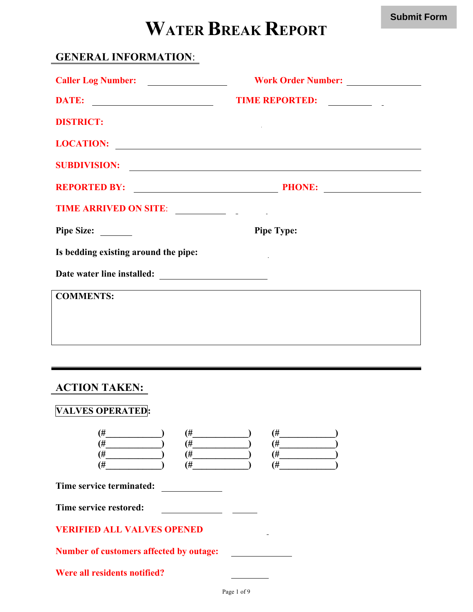# **WATER BREAK REPORT**

## **GENERAL INFORMATION**:

| Caller Log Number:                   |                                           |
|--------------------------------------|-------------------------------------------|
|                                      | TIME REPORTED:                            |
| <b>DISTRICT:</b>                     |                                           |
| LOCATION:                            |                                           |
|                                      | SUBDIVISION:                              |
| <b>REPORTED BY:</b>                  | <b>PHONE:</b> <u>PHONE:</u> <u>PHONE:</u> |
| TIME ARRIVED ON SITE:                |                                           |
| <b>Pipe Size:</b>                    | <b>Pipe Type:</b>                         |
| Is bedding existing around the pipe: |                                           |
|                                      |                                           |
| <b>COMMENTS:</b>                     |                                           |
|                                      |                                           |

#### **ACTION TAKEN:**

| $($ # | ' ப<br>$^{\bm{\pi}}$ | $^{\rm +}$     |
|-------|----------------------|----------------|
| $($ # | $\overline{H}$       | Ή              |
| $($ # | 4                    | Ή              |
| $($ # | Ή                    | $\overline{t}$ |

**Time service terminated:**

**Time service restored:**

#### **VERIFIED ALL VALVES OPENED**

**Number of customers affected by outage:**

**Were all residents notified?**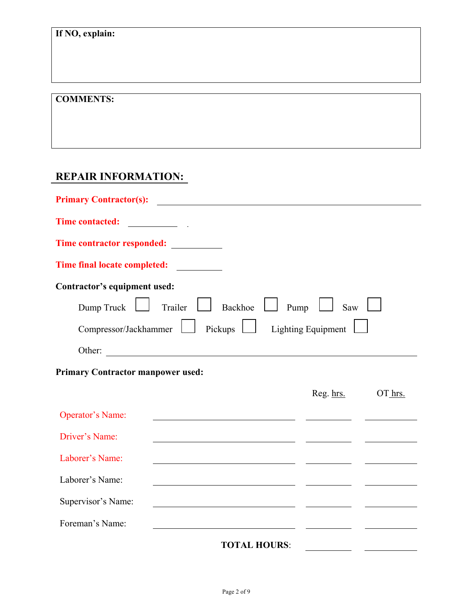#### **COMMENTS:**

## **REPAIR INFORMATION:**

| Time contractor responded: __________                                              |                                                                         |         |
|------------------------------------------------------------------------------------|-------------------------------------------------------------------------|---------|
| <b>Time final locate completed:</b>                                                |                                                                         |         |
| Contractor's equipment used:                                                       |                                                                         |         |
| Dump Truck $\Box$ Trailer $\Box$ Backhoe $\Box$ Pump                               | Saw                                                                     |         |
| Compressor/Jackhammer   Pickups                                                    | Lighting Equipment                                                      |         |
| Other:                                                                             |                                                                         |         |
| <b>Primary Contractor manpower used:</b>                                           |                                                                         |         |
|                                                                                    | Reg. hrs.                                                               | OT hrs. |
| <b>Operator's Name:</b><br><u> 1989 - Johann Stein, mars an de Brazilia (b. 19</u> |                                                                         |         |
| Driver's Name:                                                                     | <u> 1989 - Andrea San Aonaichte ann an Comhair an Comhair ann an t-</u> |         |
| Laborer's Name:                                                                    | <u> 1990 - Jan James James Barnett, amerikan bizkaitar (h. 1908).</u>   |         |
| Laborer's Name:                                                                    |                                                                         |         |
| Supervisor's Name:                                                                 |                                                                         |         |
| Foreman's Name:                                                                    | <u> 1989 - Johann Stoff, Amerikaansk politiker († 1908)</u>             |         |
| <b>TOTAL HOURS:</b>                                                                |                                                                         |         |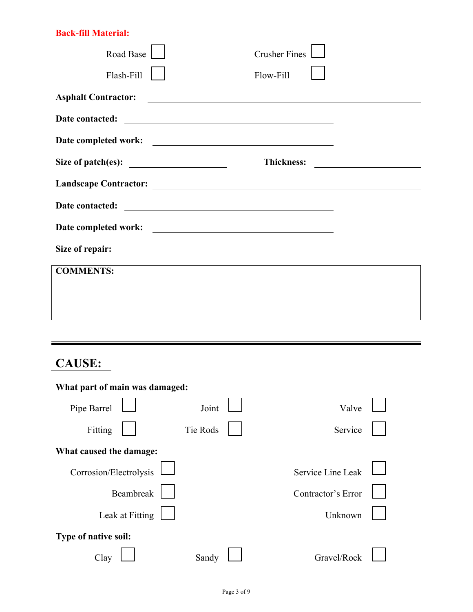#### **Back-fill Material:**

| Road Base                                 | <b>Crusher Fines</b>                              |                                                    |
|-------------------------------------------|---------------------------------------------------|----------------------------------------------------|
| Flash-Fill                                | Flow-Fill                                         |                                                    |
| <b>Asphalt Contractor:</b>                | <u> 1989 - Johann Barnett, fransk politiker (</u> |                                                    |
|                                           |                                                   |                                                    |
|                                           |                                                   |                                                    |
| Size of patch(es): $\qquad \qquad \qquad$ | <b>Thickness:</b>                                 | <u> 1989 - John Stein, Amerikaansk politiker (</u> |
|                                           |                                                   |                                                    |
| Date contacted:                           |                                                   |                                                    |
|                                           |                                                   |                                                    |
| Size of repair:                           | <u> 1980 - Johann Barbara, martin a</u>           |                                                    |
| <b>COMMENTS:</b>                          |                                                   |                                                    |
|                                           |                                                   |                                                    |
|                                           |                                                   |                                                    |

# **CAUSE:**

| What part of main was damaged: |          |  |                    |  |  |  |
|--------------------------------|----------|--|--------------------|--|--|--|
| Pipe Barrel                    | Joint    |  | Valve              |  |  |  |
| Fitting                        | Tie Rods |  | Service            |  |  |  |
| What caused the damage:        |          |  |                    |  |  |  |
| Corrosion/Electrolysis         |          |  | Service Line Leak  |  |  |  |
| Beambreak                      |          |  | Contractor's Error |  |  |  |
| Leak at Fitting                |          |  | Unknown            |  |  |  |
| Type of native soil:           |          |  |                    |  |  |  |
| Ulav                           | Sandy    |  | Gravel/Rock        |  |  |  |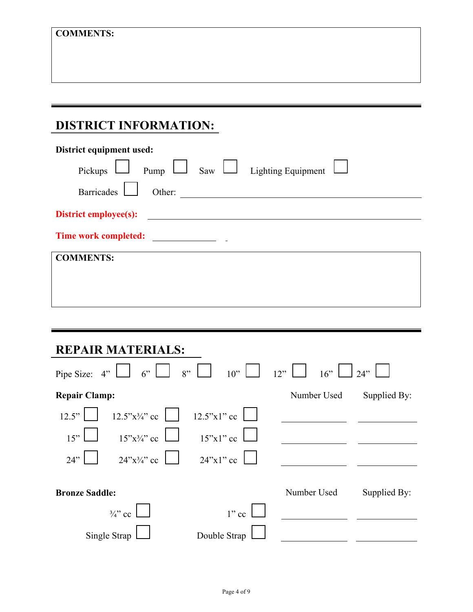## **DISTRICT INFORMATION:**

| District equipment used:                                   |
|------------------------------------------------------------|
| Saw $\Box$<br>Pump<br><b>Lighting Equipment</b><br>Pickups |
| <b>Barricades</b><br>Other:                                |
| <b>District employee(s):</b>                               |
| Time work completed:                                       |
| <b>COMMENTS:</b>                                           |
|                                                            |
|                                                            |
|                                                            |
|                                                            |

# **REPAIR MATERIALS:**

| $6''$ $\Box$<br>Pipe Size: 4" | $8"$ $\Box$<br>$10$ " | 12"<br>16"  | 24"          |
|-------------------------------|-----------------------|-------------|--------------|
| <b>Repair Clamp:</b>          |                       | Number Used | Supplied By: |
| $12.5$ "x3/4" cc<br>12.5"     | $12.5"x1"$ cc         |             |              |
| $15"x\frac{3}{4}"$ cc<br>15"  | $15"x1"$ cc           |             |              |
| $24$ "x3/4" cc<br>24"         | $24$ "x1" cc          |             |              |
| <b>Bronze Saddle:</b>         |                       | Number Used | Supplied By: |
| $\frac{3}{4}$ cc              | $1$ " cc              |             |              |
| Single Strap                  | Double Strap          |             |              |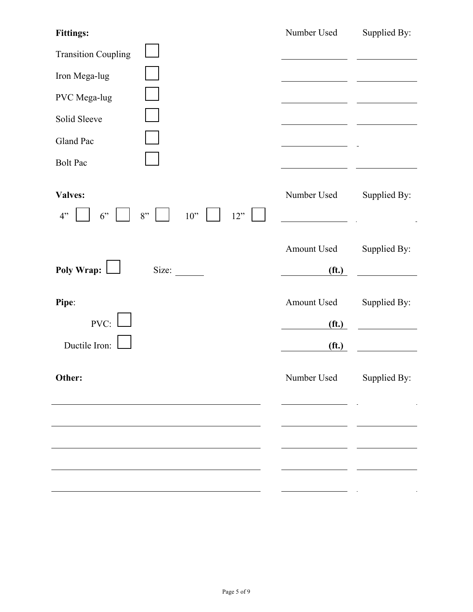| <b>Fittings:</b>                        | Number Used                            | Supplied By: |
|-----------------------------------------|----------------------------------------|--------------|
| <b>Transition Coupling</b>              |                                        |              |
| Iron Mega-lug                           |                                        |              |
| PVC Mega-lug                            |                                        |              |
| Solid Sleeve                            |                                        |              |
| Gland Pac                               |                                        |              |
| <b>Bolt Pac</b>                         |                                        |              |
| Valves:<br>8"<br>10"<br>12"<br>4"<br>6" | Number Used                            | Supplied By: |
|                                         | Amount Used                            | Supplied By: |
| Pipe:                                   | Amount Used                            | Supplied By: |
| Ductile Iron:                           | (f <sub>t</sub> )                      |              |
| Other:                                  | Number Used                            | Supplied By: |
|                                         |                                        |              |
|                                         |                                        |              |
|                                         |                                        |              |
|                                         |                                        |              |
| Poly Wrap:  <br>Size:<br>PVC:           | (f <sub>t</sub> )<br>(f <sub>t</sub> ) |              |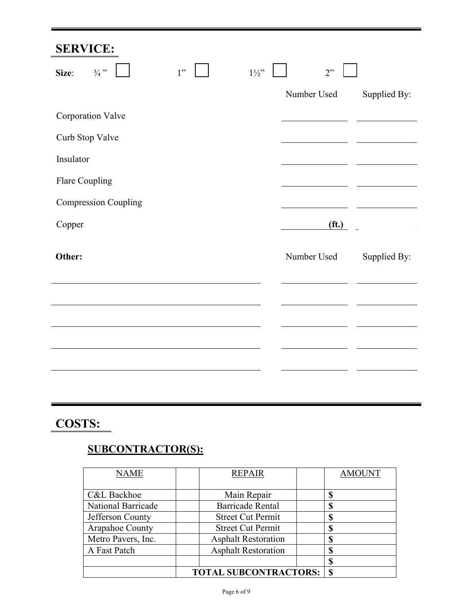# **SERVICE:**

| Size:          | $\frac{3}{4}$ "             | 1" | $1\overset{1}{\phantom{}_{1}}\!\!2"$ | 2"                |              |
|----------------|-----------------------------|----|--------------------------------------|-------------------|--------------|
|                |                             |    |                                      | Number Used       | Supplied By: |
|                | Corporation Valve           |    |                                      |                   |              |
|                | Curb Stop Valve             |    |                                      |                   |              |
| Insulator      |                             |    |                                      |                   |              |
| Flare Coupling |                             |    |                                      |                   |              |
|                | <b>Compression Coupling</b> |    |                                      |                   |              |
| Copper         |                             |    |                                      | (f <sub>t</sub> ) |              |
| Other:         |                             |    |                                      | Number Used       | Supplied By: |
|                |                             |    |                                      |                   |              |
|                |                             |    |                                      |                   |              |
|                |                             |    |                                      |                   |              |
|                |                             |    |                                      |                   |              |
|                |                             |    |                                      |                   |              |

## **COSTS:**

## **SUBCONTRACTOR(S):**

| <b>NAME</b>               | <b>REPAIR</b>                | <b>AMOUNT</b> |
|---------------------------|------------------------------|---------------|
| <b>C&amp;L Backhoe</b>    | Main Repair                  | S             |
| <b>National Barricade</b> | <b>Barricade Rental</b>      | Œ             |
| Jefferson County          | <b>Street Cut Permit</b>     | 0<br>۰D       |
| Arapahoe County           | <b>Street Cut Permit</b>     | S             |
| Metro Pavers, Inc.        | <b>Asphalt Restoration</b>   | Œ             |
| A Fast Patch              | <b>Asphalt Restoration</b>   | ۱D            |
|                           |                              | S             |
|                           | <b>TOTAL SUBCONTRACTORS:</b> | S             |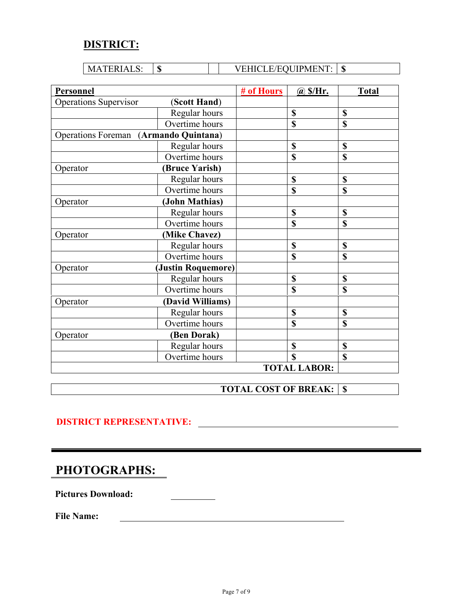#### **DISTRICT:**

| FRIAI<br>$\Lambda$<br>M<br>. טעב | w | <b>JIPMENT</b><br>F/EOU | æ<br>мD |
|----------------------------------|---|-------------------------|---------|

| Personnel                             |                       | # of Hours | @S/Hr.              | <b>Total</b> |
|---------------------------------------|-----------------------|------------|---------------------|--------------|
| <b>Operations Supervisor</b>          | (Scott Hand)          |            |                     |              |
|                                       | Regular hours         |            | \$                  | \$           |
|                                       | Overtime hours        |            | \$                  | \$           |
| Operations Foreman (Armando Quintana) |                       |            |                     |              |
|                                       | Regular hours         |            | \$                  | \$           |
|                                       | Overtime hours        |            | \$                  | \$           |
| Operator                              | <b>(Bruce Yarish)</b> |            |                     |              |
|                                       | Regular hours         |            | \$                  | \$           |
|                                       | Overtime hours        |            | \$                  | \$           |
| Operator                              | (John Mathias)        |            |                     |              |
|                                       | Regular hours         |            | \$                  | \$           |
|                                       | Overtime hours        |            | \$                  | \$           |
| Operator                              | (Mike Chavez)         |            |                     |              |
|                                       | Regular hours         |            | \$                  | \$           |
|                                       | Overtime hours        |            | \$                  | \$           |
| Operator                              | (Justin Roquemore)    |            |                     |              |
|                                       | Regular hours         |            | \$                  | \$           |
|                                       | Overtime hours        |            | \$                  | \$           |
| Operator                              | (David Williams)      |            |                     |              |
|                                       | Regular hours         |            | \$                  | \$           |
|                                       | Overtime hours        |            | \$                  | \$           |
| Operator                              | (Ben Dorak)           |            |                     |              |
|                                       | Regular hours         |            | \$                  | \$           |
|                                       | Overtime hours        |            | S                   | \$           |
|                                       |                       |            | <b>TOTAL LABOR:</b> |              |

**TOTAL COST OF BREAK: \$** 

#### **DISTRICT REPRESENTATIVE:**

## **PHOTOGRAPHS:**

Pictures Download:

**File Name:**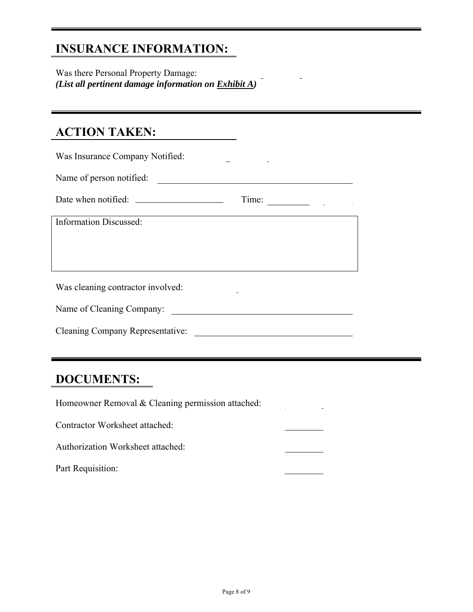## **INSURANCE INFORMATION:**

Was there Personal Property Damage: *(List all pertinent damage information on Exhibit A)*

#### **ACTION TAKEN:**

| Was Insurance Company Notified:         |  |  |  |  |
|-----------------------------------------|--|--|--|--|
| Name of person notified:                |  |  |  |  |
| Time:                                   |  |  |  |  |
| <b>Information Discussed:</b>           |  |  |  |  |
|                                         |  |  |  |  |
|                                         |  |  |  |  |
| Was cleaning contractor involved:       |  |  |  |  |
| Name of Cleaning Company:               |  |  |  |  |
| <b>Cleaning Company Representative:</b> |  |  |  |  |

#### **DOCUMENTS:**

Homeowner Removal & Cleaning permission attached:

Contractor Worksheet attached:

Authorization Worksheet attached:

Part Requisition: